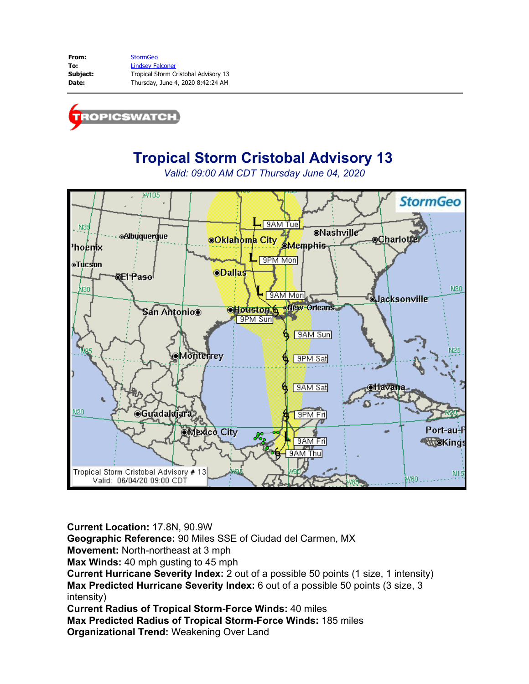**From:** [StormGeo](mailto:tropicswatch@stormgeo.com) **To:** [Lindsey Falconer](mailto:Lindsey.Falconer@stormgeo.com) **Subject:** Tropical Storm Cristobal Advisory 13 **Date:** Thursday, June 4, 2020 8:42:24 AM



# **Tropical Storm Cristobal Advisory 13**

*Valid: 09:00 AM CDT Thursday June 04, 2020*



**Current Location:** 17.8N, 90.9W

**Geographic Reference:** 90 Miles SSE of Ciudad del Carmen, MX

**Movement:** North-northeast at 3 mph

**Max Winds:** 40 mph gusting to 45 mph

**Current Hurricane Severity Index:** 2 out of a possible 50 points (1 size, 1 intensity) **Max Predicted Hurricane Severity Index:** 6 out of a possible 50 points (3 size, 3 intensity)

**Current Radius of Tropical Storm-Force Winds:** 40 miles

**Max Predicted Radius of Tropical Storm-Force Winds:** 185 miles

**Organizational Trend:** Weakening Over Land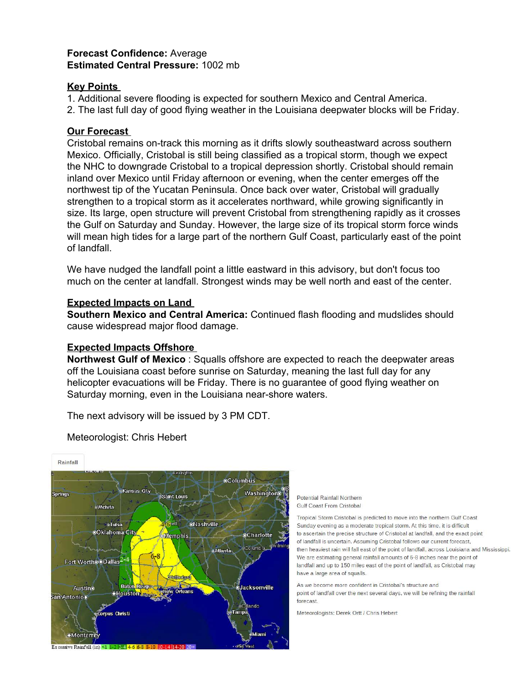## **Forecast Confidence:** Average **Estimated Central Pressure:** 1002 mb

#### **Key Points**

1. Additional severe flooding is expected for southern Mexico and Central America.

2. The last full day of good flying weather in the Louisiana deepwater blocks will be Friday.

### **Our Forecast**

Cristobal remains on-track this morning as it drifts slowly southeastward across southern Mexico. Officially, Cristobal is still being classified as a tropical storm, though we expect the NHC to downgrade Cristobal to a tropical depression shortly. Cristobal should remain inland over Mexico until Friday afternoon or evening, when the center emerges off the northwest tip of the Yucatan Peninsula. Once back over water, Cristobal will gradually strengthen to a tropical storm as it accelerates northward, while growing significantly in size. Its large, open structure will prevent Cristobal from strengthening rapidly as it crosses the Gulf on Saturday and Sunday. However, the large size of its tropical storm force winds will mean high tides for a large part of the northern Gulf Coast, particularly east of the point of landfall.

We have nudged the landfall point a little eastward in this advisory, but don't focus too much on the center at landfall. Strongest winds may be well north and east of the center.

#### **Expected Impacts on Land**

**Southern Mexico and Central America:** Continued flash flooding and mudslides should cause widespread major flood damage.

## **Expected Impacts Offshore**

**Northwest Gulf of Mexico** : Squalls offshore are expected to reach the deepwater areas off the Louisiana coast before sunrise on Saturday, meaning the last full day for any helicopter evacuations will be Friday. There is no guarantee of good flying weather on Saturday morning, even in the Louisiana near-shore waters.

The next advisory will be issued by 3 PM CDT.



Meteorologist: Chris Hebert

Potential Rainfall Northern **Gulf Coast From Cristobal** 

Tropical Storm Cristobal is predicted to move into the northern Gulf Coast Sunday evening as a moderate tropical storm. At this time, it is difficult to ascertain the precise structure of Cristobal at landfall, and the exact point of landfall is uncertain. Assuming Cristobal follows our current forecast, then heaviest rain will fall east of the point of landfall, across Louisiana and Mississippi. We are estimating general rainfall amounts of 6-8 inches near the point of landfall and up to 150 miles east of the point of landfall, as Cristobal may have a large area of squalls.

As we become more confident in Cristobal's structure and point of landfall over the next several days, we will be refining the rainfall forecast.

Meteorologists: Derek Ortt / Chris Hebert